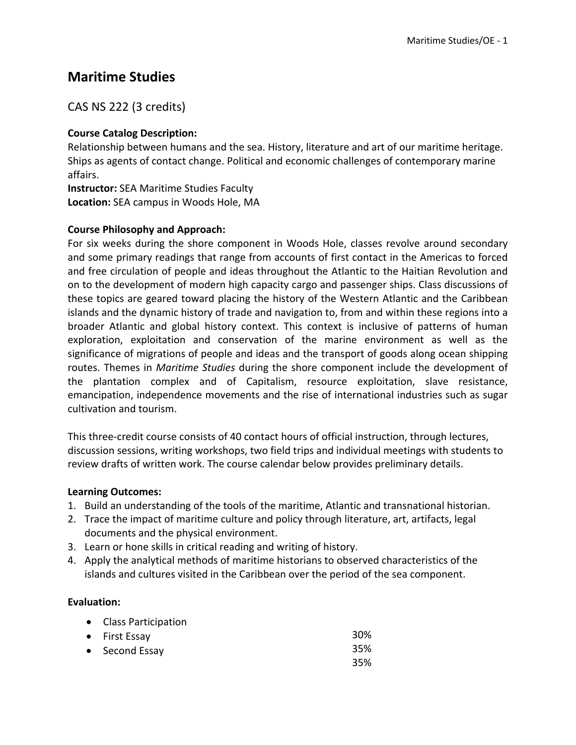# **Maritime Studies**

# CAS NS 222 (3 credits)

# **Course Catalog Description:**

Relationship between humans and the sea. History, literature and art of our maritime heritage. Ships as agents of contact change. Political and economic challenges of contemporary marine affairs.

**Instructor:** SEA Maritime Studies Faculty **Location:** SEA campus in Woods Hole, MA

# **Course Philosophy and Approach:**

For six weeks during the shore component in Woods Hole, classes revolve around secondary and some primary readings that range from accounts of first contact in the Americas to forced and free circulation of people and ideas throughout the Atlantic to the Haitian Revolution and on to the development of modern high capacity cargo and passenger ships. Class discussions of these topics are geared toward placing the history of the Western Atlantic and the Caribbean islands and the dynamic history of trade and navigation to, from and within these regions into a broader Atlantic and global history context. This context is inclusive of patterns of human exploration, exploitation and conservation of the marine environment as well as the significance of migrations of people and ideas and the transport of goods along ocean shipping routes. Themes in *Maritime Studies* during the shore component include the development of the plantation complex and of Capitalism, resource exploitation, slave resistance, emancipation, independence movements and the rise of international industries such as sugar cultivation and tourism.

This three-credit course consists of 40 contact hours of official instruction, through lectures, discussion sessions, writing workshops, two field trips and individual meetings with students to review drafts of written work. The course calendar below provides preliminary details.

### **Learning Outcomes:**

- 1. Build an understanding of the tools of the maritime, Atlantic and transnational historian.
- 2. Trace the impact of maritime culture and policy through literature, art, artifacts, legal documents and the physical environment.
- 3. Learn or hone skills in critical reading and writing of history.
- 4. Apply the analytical methods of maritime historians to observed characteristics of the islands and cultures visited in the Caribbean over the period of the sea component.

### **Evaluation:**

| • Class Participation |            |
|-----------------------|------------|
| • First Essay         | <b>30%</b> |
| • Second Essay        | 35%        |
|                       | 35%        |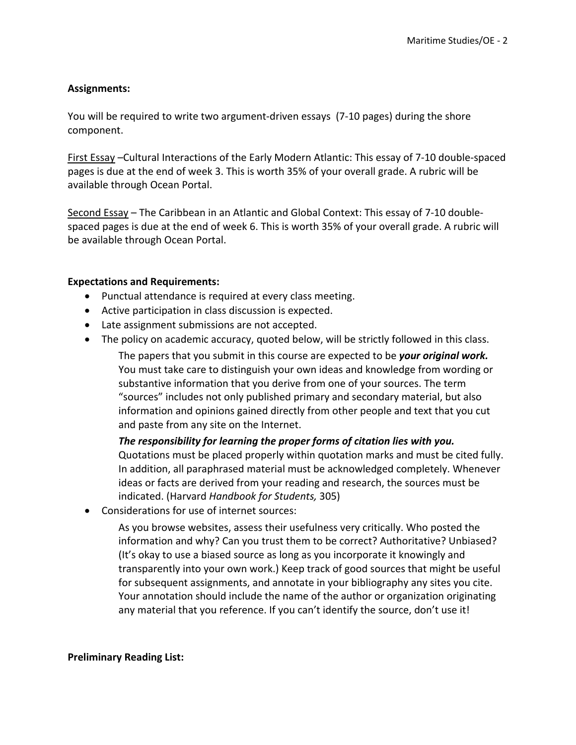#### **Assignments:**

You will be required to write two argument-driven essays (7-10 pages) during the shore component.

First Essay –Cultural Interactions of the Early Modern Atlantic: This essay of 7-10 double-spaced pages is due at the end of week 3. This is worth 35% of your overall grade. A rubric will be available through Ocean Portal.

Second Essay – The Caribbean in an Atlantic and Global Context: This essay of 7-10 doublespaced pages is due at the end of week 6. This is worth 35% of your overall grade. A rubric will be available through Ocean Portal.

#### **Expectations and Requirements:**

- Punctual attendance is required at every class meeting.
- Active participation in class discussion is expected.
- Late assignment submissions are not accepted.
- The policy on academic accuracy, quoted below, will be strictly followed in this class.

The papers that you submit in this course are expected to be *your original work.*  You must take care to distinguish your own ideas and knowledge from wording or substantive information that you derive from one of your sources. The term "sources" includes not only published primary and secondary material, but also information and opinions gained directly from other people and text that you cut and paste from any site on the Internet.

*The responsibility for learning the proper forms of citation lies with you.*  Quotations must be placed properly within quotation marks and must be cited fully. In addition, all paraphrased material must be acknowledged completely. Whenever ideas or facts are derived from your reading and research, the sources must be indicated. (Harvard *Handbook for Students,* 305)

• Considerations for use of internet sources:

As you browse websites, assess their usefulness very critically. Who posted the information and why? Can you trust them to be correct? Authoritative? Unbiased? (It's okay to use a biased source as long as you incorporate it knowingly and transparently into your own work.) Keep track of good sources that might be useful for subsequent assignments, and annotate in your bibliography any sites you cite. Your annotation should include the name of the author or organization originating any material that you reference. If you can't identify the source, don't use it!

#### **Preliminary Reading List:**